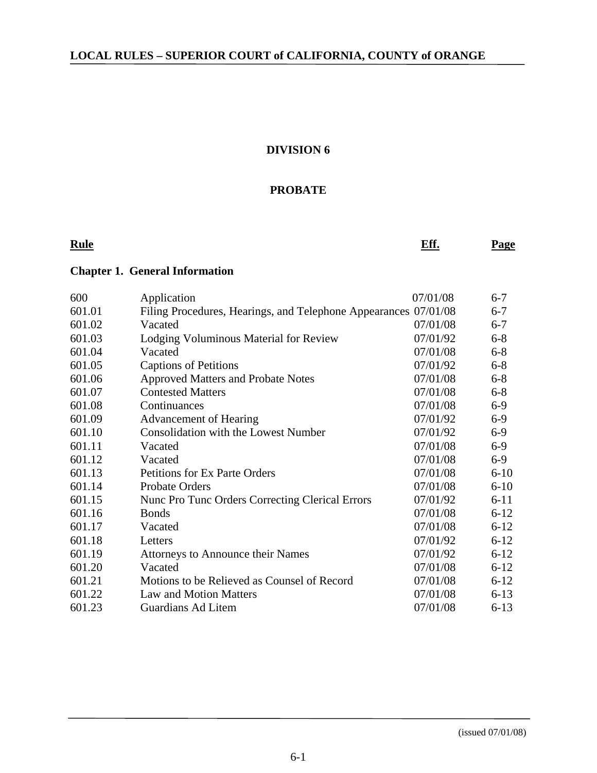#### **DIVISION 6**

#### **PROBATE**

**Rule Rule Report Controller Controller Eff.** Page

#### **Chapter 1. General Information**

| 600    | Application                                            | 07/01/08 | $6 - 7$  |
|--------|--------------------------------------------------------|----------|----------|
| 601.01 | Filing Procedures, Hearings, and Telephone Appearances | 07/01/08 | $6 - 7$  |
| 601.02 | Vacated                                                | 07/01/08 | $6 - 7$  |
| 601.03 | Lodging Voluminous Material for Review                 | 07/01/92 | $6 - 8$  |
| 601.04 | Vacated                                                | 07/01/08 | $6 - 8$  |
| 601.05 | <b>Captions of Petitions</b>                           | 07/01/92 | $6 - 8$  |
| 601.06 | <b>Approved Matters and Probate Notes</b>              | 07/01/08 | $6 - 8$  |
| 601.07 | <b>Contested Matters</b>                               | 07/01/08 | $6 - 8$  |
| 601.08 | Continuances                                           | 07/01/08 | $6-9$    |
| 601.09 | <b>Advancement of Hearing</b>                          | 07/01/92 | $6-9$    |
| 601.10 | <b>Consolidation with the Lowest Number</b>            | 07/01/92 | $6-9$    |
| 601.11 | Vacated                                                | 07/01/08 | $6-9$    |
| 601.12 | Vacated                                                | 07/01/08 | $6-9$    |
| 601.13 | <b>Petitions for Ex Parte Orders</b>                   | 07/01/08 | $6 - 10$ |
| 601.14 | <b>Probate Orders</b>                                  | 07/01/08 | $6 - 10$ |
| 601.15 | Nunc Pro Tunc Orders Correcting Clerical Errors        | 07/01/92 | $6 - 11$ |
| 601.16 | <b>Bonds</b>                                           | 07/01/08 | $6 - 12$ |
| 601.17 | Vacated                                                | 07/01/08 | $6 - 12$ |
| 601.18 | Letters                                                | 07/01/92 | $6 - 12$ |
| 601.19 | <b>Attorneys to Announce their Names</b>               | 07/01/92 | $6 - 12$ |
| 601.20 | Vacated                                                | 07/01/08 | $6 - 12$ |
| 601.21 | Motions to be Relieved as Counsel of Record            | 07/01/08 | $6 - 12$ |
| 601.22 | <b>Law and Motion Matters</b>                          | 07/01/08 | $6 - 13$ |
| 601.23 | <b>Guardians Ad Litem</b>                              | 07/01/08 | $6 - 13$ |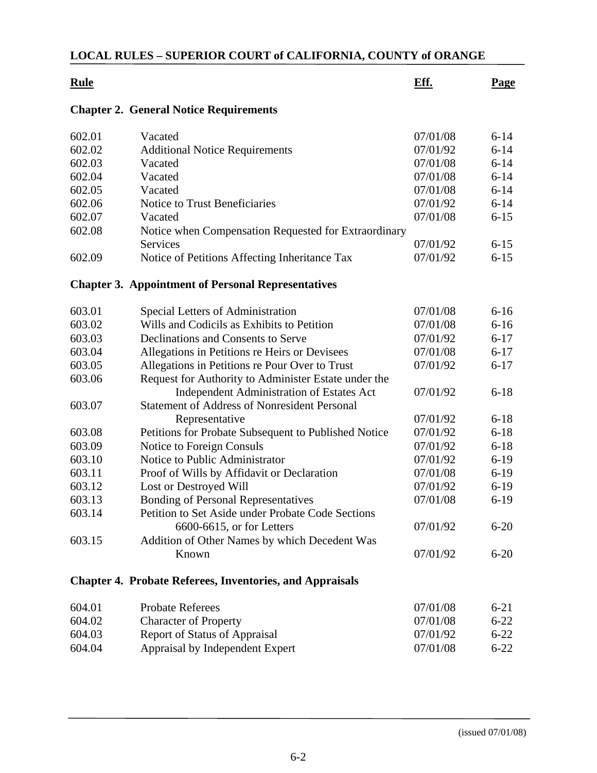| <b>Rule</b> |                                                                 | Eff.     | <b>Page</b> |
|-------------|-----------------------------------------------------------------|----------|-------------|
|             | <b>Chapter 2. General Notice Requirements</b>                   |          |             |
| 602.01      | Vacated                                                         | 07/01/08 | $6 - 14$    |
| 602.02      | <b>Additional Notice Requirements</b>                           | 07/01/92 | $6 - 14$    |
| 602.03      | Vacated                                                         | 07/01/08 | $6 - 14$    |
| 602.04      | Vacated                                                         | 07/01/08 | $6 - 14$    |
| 602.05      | Vacated                                                         | 07/01/08 | $6 - 14$    |
| 602.06      | Notice to Trust Beneficiaries                                   | 07/01/92 | $6 - 14$    |
| 602.07      | Vacated                                                         | 07/01/08 | $6 - 15$    |
| 602.08      | Notice when Compensation Requested for Extraordinary            |          |             |
|             | Services                                                        | 07/01/92 | $6 - 15$    |
| 602.09      | Notice of Petitions Affecting Inheritance Tax                   | 07/01/92 | $6 - 15$    |
|             | <b>Chapter 3. Appointment of Personal Representatives</b>       |          |             |
| 603.01      | Special Letters of Administration                               | 07/01/08 | $6 - 16$    |
| 603.02      | Wills and Codicils as Exhibits to Petition                      | 07/01/08 | $6 - 16$    |
| 603.03      | Declinations and Consents to Serve                              | 07/01/92 | $6 - 17$    |
| 603.04      | Allegations in Petitions re Heirs or Devisees                   | 07/01/08 | $6 - 17$    |
| 603.05      | Allegations in Petitions re Pour Over to Trust                  | 07/01/92 | $6 - 17$    |
| 603.06      | Request for Authority to Administer Estate under the            |          |             |
|             | <b>Independent Administration of Estates Act</b>                | 07/01/92 | $6 - 18$    |
| 603.07      | <b>Statement of Address of Nonresident Personal</b>             |          |             |
|             | Representative                                                  | 07/01/92 | $6 - 18$    |
| 603.08      | Petitions for Probate Subsequent to Published Notice            | 07/01/92 | $6 - 18$    |
| 603.09      | Notice to Foreign Consuls                                       | 07/01/92 | $6 - 18$    |
| 603.10      | Notice to Public Administrator                                  | 07/01/92 | $6-19$      |
| 603.11      | Proof of Wills by Affidavit or Declaration                      | 07/01/08 | $6-19$      |
| 603.12      | Lost or Destroyed Will                                          | 07/01/92 | $6-19$      |
| 603.13      | <b>Bonding of Personal Representatives</b>                      | 07/01/08 | $6-19$      |
| 603.14      | Petition to Set Aside under Probate Code Sections               |          |             |
|             | 6600-6615, or for Letters                                       | 07/01/92 | $6 - 20$    |
| 603.15      | Addition of Other Names by which Decedent Was                   |          |             |
|             | Known                                                           | 07/01/92 | $6 - 20$    |
|             | <b>Chapter 4. Probate Referees, Inventories, and Appraisals</b> |          |             |
| 604.01      | <b>Probate Referees</b>                                         | 07/01/08 | $6 - 21$    |
| 604.02      | <b>Character of Property</b>                                    | 07/01/08 | $6 - 22$    |
| 604.03      | Report of Status of Appraisal                                   | 07/01/92 | $6 - 22$    |
| 604.04      | Appraisal by Independent Expert                                 | 07/01/08 | $6 - 22$    |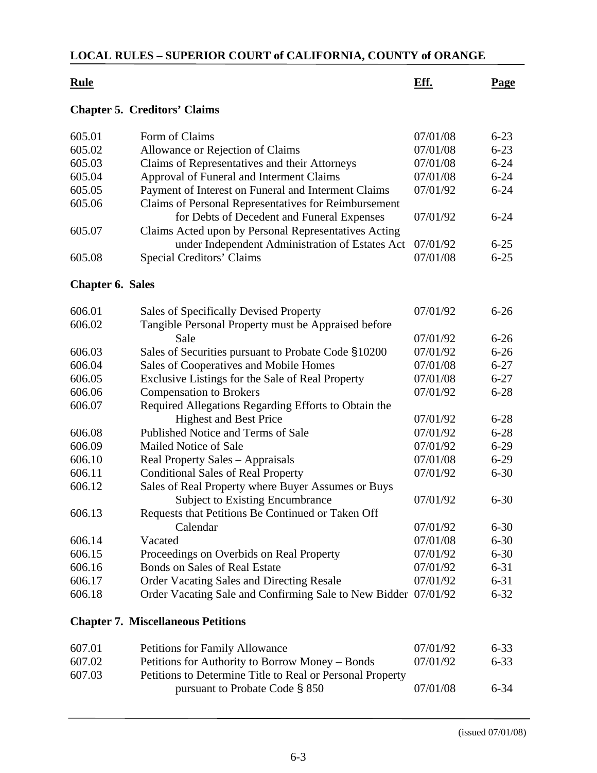| <b>Rule</b>             |                                                                | Eff.     | <b>Page</b> |
|-------------------------|----------------------------------------------------------------|----------|-------------|
|                         | <b>Chapter 5. Creditors' Claims</b>                            |          |             |
| 605.01                  | Form of Claims                                                 | 07/01/08 | $6 - 23$    |
| 605.02                  | Allowance or Rejection of Claims                               | 07/01/08 | $6 - 23$    |
| 605.03                  | Claims of Representatives and their Attorneys                  | 07/01/08 | $6 - 24$    |
| 605.04                  | Approval of Funeral and Interment Claims                       | 07/01/08 | $6 - 24$    |
| 605.05                  | Payment of Interest on Funeral and Interment Claims            | 07/01/92 | $6 - 24$    |
| 605.06                  | Claims of Personal Representatives for Reimbursement           |          |             |
|                         | for Debts of Decedent and Funeral Expenses                     | 07/01/92 | $6 - 24$    |
| 605.07                  | Claims Acted upon by Personal Representatives Acting           |          |             |
|                         | under Independent Administration of Estates Act                | 07/01/92 | $6 - 25$    |
| 605.08                  | <b>Special Creditors' Claims</b>                               | 07/01/08 | $6 - 25$    |
| <b>Chapter 6. Sales</b> |                                                                |          |             |
| 606.01                  | Sales of Specifically Devised Property                         | 07/01/92 | $6 - 26$    |
| 606.02                  | Tangible Personal Property must be Appraised before            |          |             |
|                         | Sale                                                           | 07/01/92 | $6 - 26$    |
| 606.03                  | Sales of Securities pursuant to Probate Code §10200            | 07/01/92 | $6 - 26$    |
| 606.04                  | Sales of Cooperatives and Mobile Homes                         | 07/01/08 | $6 - 27$    |
| 606.05                  | Exclusive Listings for the Sale of Real Property               | 07/01/08 | $6 - 27$    |
| 606.06                  | <b>Compensation to Brokers</b>                                 | 07/01/92 | $6 - 28$    |
| 606.07                  | Required Allegations Regarding Efforts to Obtain the           |          |             |
|                         | <b>Highest and Best Price</b>                                  | 07/01/92 | $6 - 28$    |
| 606.08                  | Published Notice and Terms of Sale                             | 07/01/92 | $6 - 28$    |
| 606.09                  | Mailed Notice of Sale                                          | 07/01/92 | $6 - 29$    |
| 606.10                  | Real Property Sales – Appraisals                               | 07/01/08 | $6 - 29$    |
| 606.11                  | <b>Conditional Sales of Real Property</b>                      | 07/01/92 | $6 - 30$    |
| 606.12                  | Sales of Real Property where Buyer Assumes or Buys             |          |             |
|                         | <b>Subject to Existing Encumbrance</b>                         | 07/01/92 | $6 - 30$    |
| 606.13                  | Requests that Petitions Be Continued or Taken Off              |          |             |
|                         | Calendar                                                       | 07/01/92 | $6 - 30$    |
| 606.14                  | Vacated                                                        | 07/01/08 | $6 - 30$    |
| 606.15                  | Proceedings on Overbids on Real Property                       | 07/01/92 | $6 - 30$    |
| 606.16                  | <b>Bonds on Sales of Real Estate</b>                           | 07/01/92 | $6 - 31$    |
| 606.17                  | <b>Order Vacating Sales and Directing Resale</b>               | 07/01/92 | $6 - 31$    |
| 606.18                  | Order Vacating Sale and Confirming Sale to New Bidder 07/01/92 |          | $6 - 32$    |
|                         | <b>Chapter 7. Miscellaneous Petitions</b>                      |          |             |
| 607.01                  | Petitions for Family Allowance                                 | 07/01/92 | $6 - 33$    |
| 607.02                  | Petitions for Authority to Borrow Money – Bonds                | 07/01/92 | $6 - 33$    |
| 607.03                  | Petitions to Determine Title to Real or Personal Property      |          |             |
|                         | pursuant to Probate Code § 850                                 | 07/01/08 | $6 - 34$    |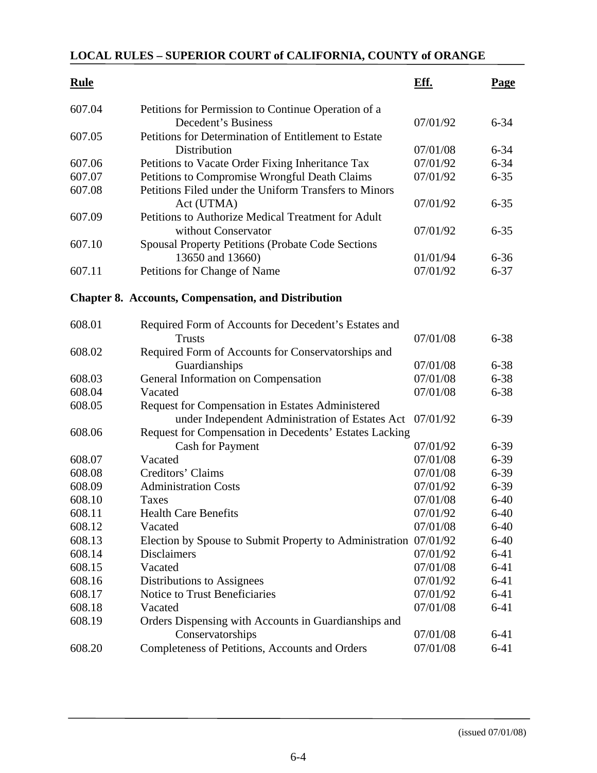| <b>Rule</b> |                                                                            | Eff.     | <b>Page</b> |
|-------------|----------------------------------------------------------------------------|----------|-------------|
| 607.04      | Petitions for Permission to Continue Operation of a<br>Decedent's Business | 07/01/92 | $6 - 34$    |
| 607.05      | Petitions for Determination of Entitlement to Estate                       |          |             |
|             | Distribution                                                               | 07/01/08 | $6 - 34$    |
| 607.06      | Petitions to Vacate Order Fixing Inheritance Tax                           | 07/01/92 | $6 - 34$    |
| 607.07      | Petitions to Compromise Wrongful Death Claims                              | 07/01/92 | $6 - 35$    |
| 607.08      | Petitions Filed under the Uniform Transfers to Minors                      |          |             |
|             | Act (UTMA)                                                                 | 07/01/92 | $6 - 35$    |
| 607.09      | Petitions to Authorize Medical Treatment for Adult                         |          |             |
|             | without Conservator                                                        | 07/01/92 | $6 - 35$    |
| 607.10      | <b>Spousal Property Petitions (Probate Code Sections</b>                   |          |             |
|             | 13650 and 13660)                                                           | 01/01/94 | $6 - 36$    |
| 607.11      | Petitions for Change of Name                                               | 07/01/92 | $6 - 37$    |
|             | <b>Chapter 8. Accounts, Compensation, and Distribution</b>                 |          |             |
| 608.01      | Required Form of Accounts for Decedent's Estates and                       |          |             |
|             | Trusts                                                                     | 07/01/08 | $6 - 38$    |
| 608.02      | Required Form of Accounts for Conservatorships and                         |          |             |
|             | Guardianships                                                              | 07/01/08 | $6 - 38$    |
| 608.03      | General Information on Compensation                                        | 07/01/08 | $6 - 38$    |
| 608.04      | Vacated                                                                    | 07/01/08 | $6 - 38$    |
| 608.05      | Request for Compensation in Estates Administered                           |          |             |
|             | under Independent Administration of Estates Act                            | 07/01/92 | $6 - 39$    |
| 608.06      | Request for Compensation in Decedents' Estates Lacking                     |          |             |
|             | <b>Cash for Payment</b>                                                    | 07/01/92 | $6 - 39$    |
| 608.07      | Vacated                                                                    | 07/01/08 | $6 - 39$    |
| 608.08      | Creditors' Claims                                                          | 07/01/08 | $6 - 39$    |
| 608.09      | <b>Administration Costs</b>                                                | 07/01/92 | $6 - 39$    |
| 608.10      | <b>Taxes</b>                                                               | 07/01/08 | $6 - 40$    |
| 608.11      | <b>Health Care Benefits</b>                                                | 07/01/92 | $6-40$      |
| 608.12      | Vacated                                                                    | 07/01/08 | $6 - 40$    |
| 608.13      | Election by Spouse to Submit Property to Administration 07/01/92           |          | $6 - 40$    |
| 608.14      | <b>Disclaimers</b>                                                         | 07/01/92 | $6 - 41$    |
| 608.15      | Vacated                                                                    | 07/01/08 | $6 - 41$    |
| 608.16      | Distributions to Assignees                                                 | 07/01/92 | $6 - 41$    |
| 608.17      | Notice to Trust Beneficiaries                                              | 07/01/92 | $6 - 41$    |
| 608.18      | Vacated                                                                    | 07/01/08 | $6 - 41$    |
| 608.19      | Orders Dispensing with Accounts in Guardianships and                       |          |             |
|             | Conservatorships                                                           | 07/01/08 | $6 - 41$    |
| 608.20      | Completeness of Petitions, Accounts and Orders                             | 07/01/08 | $6 - 41$    |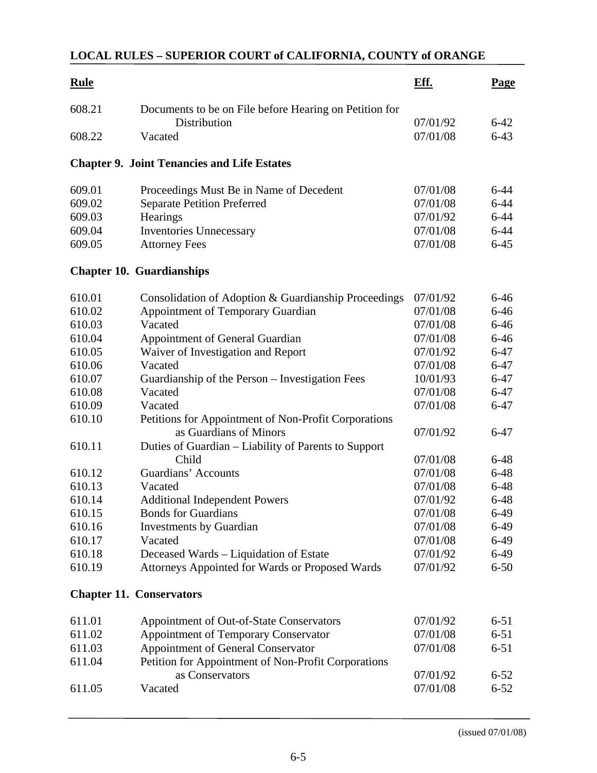| <b>Rule</b> |                                                                        | Eff.     | <b>Page</b> |
|-------------|------------------------------------------------------------------------|----------|-------------|
| 608.21      | Documents to be on File before Hearing on Petition for<br>Distribution | 07/01/92 | $6-42$      |
| 608.22      | Vacated                                                                | 07/01/08 | $6 - 43$    |
|             | <b>Chapter 9. Joint Tenancies and Life Estates</b>                     |          |             |
| 609.01      | Proceedings Must Be in Name of Decedent                                | 07/01/08 | $6 - 44$    |
| 609.02      | <b>Separate Petition Preferred</b>                                     | 07/01/08 | $6 - 44$    |
| 609.03      | Hearings                                                               | 07/01/92 | $6 - 44$    |
| 609.04      | <b>Inventories Unnecessary</b>                                         | 07/01/08 | $6 - 44$    |
| 609.05      | <b>Attorney Fees</b>                                                   | 07/01/08 | $6 - 45$    |
|             | <b>Chapter 10. Guardianships</b>                                       |          |             |
| 610.01      | Consolidation of Adoption & Guardianship Proceedings                   | 07/01/92 | $6 - 46$    |
| 610.02      | <b>Appointment of Temporary Guardian</b>                               | 07/01/08 | $6 - 46$    |
| 610.03      | Vacated                                                                | 07/01/08 | $6 - 46$    |
| 610.04      | Appointment of General Guardian                                        | 07/01/08 | $6 - 46$    |
| 610.05      | Waiver of Investigation and Report                                     | 07/01/92 | $6 - 47$    |
| 610.06      | Vacated                                                                | 07/01/08 | $6-47$      |
| 610.07      | Guardianship of the Person – Investigation Fees                        | 10/01/93 | $6 - 47$    |
| 610.08      | Vacated                                                                | 07/01/08 | $6 - 47$    |
| 610.09      | Vacated                                                                | 07/01/08 | $6 - 47$    |
| 610.10      | Petitions for Appointment of Non-Profit Corporations                   |          |             |
|             | as Guardians of Minors                                                 | 07/01/92 | $6 - 47$    |
| 610.11      | Duties of Guardian – Liability of Parents to Support                   |          |             |
|             | Child                                                                  | 07/01/08 | $6 - 48$    |
| 610.12      | Guardians' Accounts                                                    | 07/01/08 | $6 - 48$    |
| 610.13      | Vacated                                                                | 07/01/08 | $6 - 48$    |
| 610.14      | <b>Additional Independent Powers</b>                                   | 07/01/92 | $6 - 48$    |
| 610.15      | <b>Bonds for Guardians</b>                                             | 07/01/08 | $6-49$      |
| 610.16      | <b>Investments by Guardian</b>                                         | 07/01/08 | $6-49$      |
| 610.17      | Vacated                                                                | 07/01/08 | $6-49$      |
| 610.18      | Deceased Wards – Liquidation of Estate                                 | 07/01/92 | $6-49$      |
| 610.19      | Attorneys Appointed for Wards or Proposed Wards                        | 07/01/92 | $6 - 50$    |
|             | <b>Chapter 11. Conservators</b>                                        |          |             |
| 611.01      | Appointment of Out-of-State Conservators                               | 07/01/92 | $6 - 51$    |
| 611.02      | Appointment of Temporary Conservator                                   | 07/01/08 | $6 - 51$    |
| 611.03      | Appointment of General Conservator                                     | 07/01/08 | $6 - 51$    |
| 611.04      | Petition for Appointment of Non-Profit Corporations                    |          |             |
|             | as Conservators                                                        | 07/01/92 | $6 - 52$    |
| 611.05      | Vacated                                                                | 07/01/08 | $6 - 52$    |
|             |                                                                        |          |             |